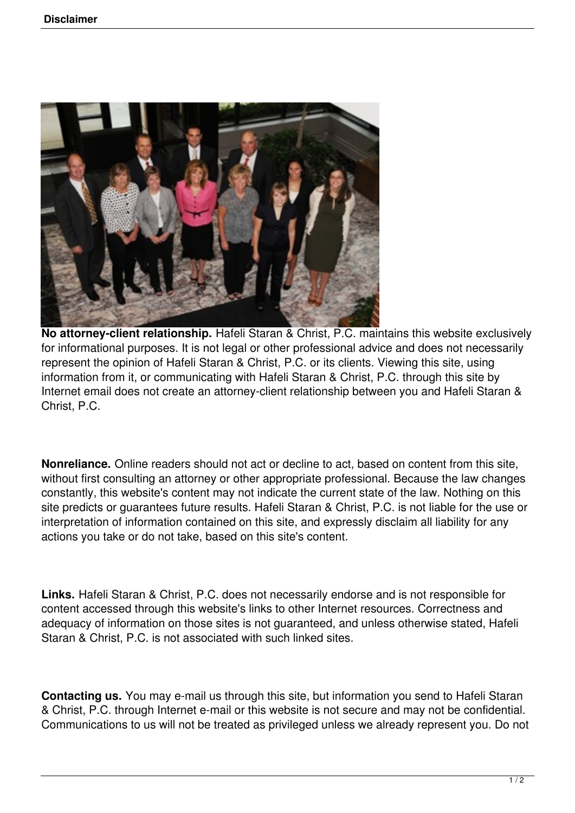

**No attorney-client relationship.** Hafeli Staran & Christ, P.C. maintains this website exclusively for informational purposes. It is not legal or other professional advice and does not necessarily represent the opinion of Hafeli Staran & Christ, P.C. or its clients. Viewing this site, using information from it, or communicating with Hafeli Staran & Christ, P.C. through this site by Internet email does not create an attorney-client relationship between you and Hafeli Staran & Christ, P.C.

**Nonreliance.** Online readers should not act or decline to act, based on content from this site, without first consulting an attorney or other appropriate professional. Because the law changes constantly, this website's content may not indicate the current state of the law. Nothing on this site predicts or guarantees future results. Hafeli Staran & Christ, P.C. is not liable for the use or interpretation of information contained on this site, and expressly disclaim all liability for any actions you take or do not take, based on this site's content.

**Links.** Hafeli Staran & Christ, P.C. does not necessarily endorse and is not responsible for content accessed through this website's links to other Internet resources. Correctness and adequacy of information on those sites is not guaranteed, and unless otherwise stated, Hafeli Staran & Christ, P.C. is not associated with such linked sites.

**Contacting us.** You may e-mail us through this site, but information you send to Hafeli Staran & Christ, P.C. through Internet e-mail or this website is not secure and may not be confidential. Communications to us will not be treated as privileged unless we already represent you. Do not